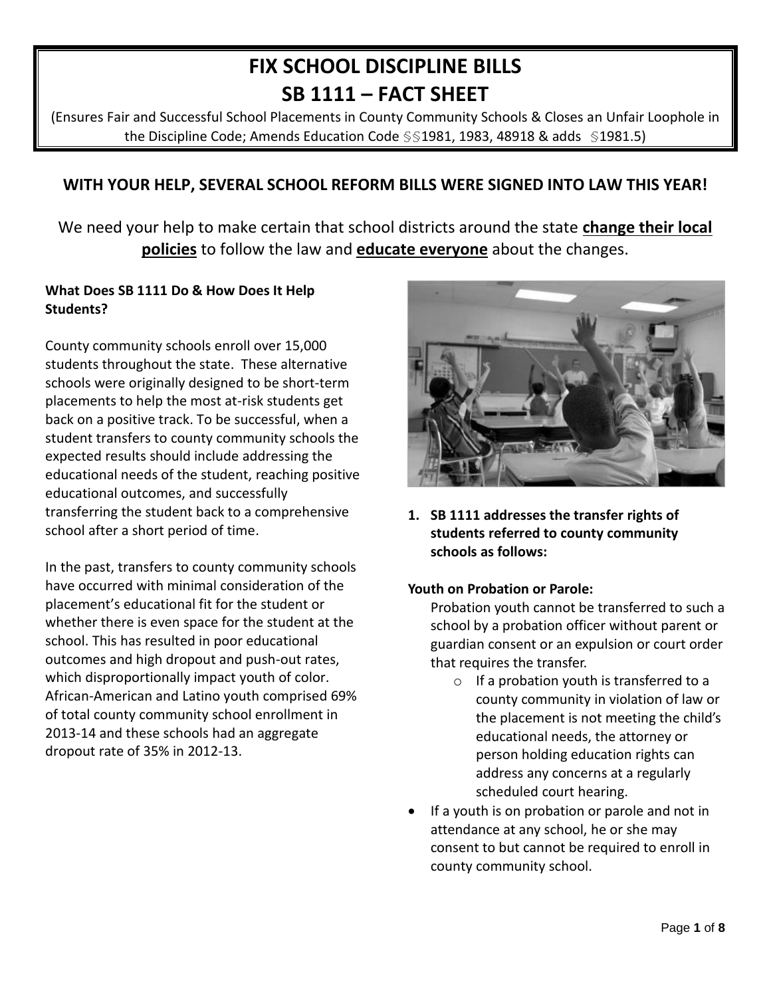# **FIX SCHOOL DISCIPLINE BILLS SB 1111 – FACT SHEET**

(Ensures Fair and Successful School Placements in County Community Schools & Closes an Unfair Loophole in the Discipline Code; Amends Education Code §§1981, 1983, 48918 & adds §1981.5)

# **WITH YOUR HELP, SEVERAL SCHOOL REFORM BILLS WERE SIGNED INTO LAW THIS YEAR!**

We need your help to make certain that school districts around the state **change their local policies** to follow the law and **educate everyone** about the changes.

#### **What Does SB 1111 Do & How Does It Help Students?**

County community schools enroll over 15,000 students throughout the state. These alternative schools were originally designed to be short-term placements to help the most at-risk students get back on a positive track. To be successful, when a student transfers to county community schools the expected results should include addressing the educational needs of the student, reaching positive educational outcomes, and successfully transferring the student back to a comprehensive school after a short period of time.

In the past, transfers to county community schools have occurred with minimal consideration of the placement's educational fit for the student or whether there is even space for the student at the school. This has resulted in poor educational outcomes and high dropout and push-out rates, which disproportionally impact youth of color. African-American and Latino youth comprised 69% of total county community school enrollment in 2013-14 and these schools had an aggregate dropout rate of 35% in 2012-13.



**1. SB 1111 addresses the transfer rights of students referred to county community schools as follows:** 

#### **Youth on Probation or Parole:**

Probation youth cannot be transferred to such a school by a probation officer without parent or guardian consent or an expulsion or court order that requires the transfer.

- o If a probation youth is transferred to a county community in violation of law or the placement is not meeting the child's educational needs, the attorney or person holding education rights can address any concerns at a regularly scheduled court hearing.
- If a youth is on probation or parole and not in attendance at any school, he or she may consent to but cannot be required to enroll in county community school.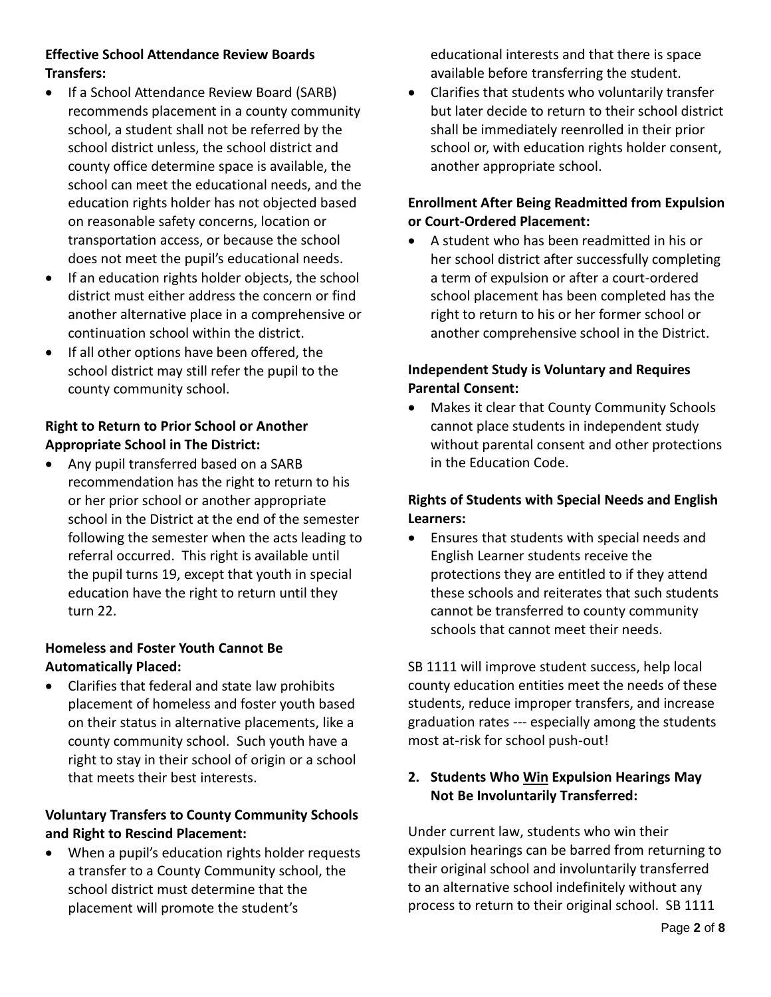## **Effective School Attendance Review Boards Transfers:**

- If a School Attendance Review Board (SARB) recommends placement in a county community school, a student shall not be referred by the school district unless, the school district and county office determine space is available, the school can meet the educational needs, and the education rights holder has not objected based on reasonable safety concerns, location or transportation access, or because the school does not meet the pupil's educational needs.
- If an education rights holder objects, the school district must either address the concern or find another alternative place in a comprehensive or continuation school within the district.
- **If all other options have been offered, the** school district may still refer the pupil to the county community school.

## **Right to Return to Prior School or Another Appropriate School in The District:**

• Any pupil transferred based on a SARB recommendation has the right to return to his or her prior school or another appropriate school in the District at the end of the semester following the semester when the acts leading to referral occurred. This right is available until the pupil turns 19, except that youth in special education have the right to return until they turn 22.

## **Homeless and Foster Youth Cannot Be Automatically Placed:**

 Clarifies that federal and state law prohibits placement of homeless and foster youth based on their status in alternative placements, like a county community school. Such youth have a right to stay in their school of origin or a school that meets their best interests.

# **Voluntary Transfers to County Community Schools and Right to Rescind Placement:**

 When a pupil's education rights holder requests a transfer to a County Community school, the school district must determine that the placement will promote the student's

educational interests and that there is space available before transferring the student.

 Clarifies that students who voluntarily transfer but later decide to return to their school district shall be immediately reenrolled in their prior school or, with education rights holder consent, another appropriate school.

## **Enrollment After Being Readmitted from Expulsion or Court-Ordered Placement:**

 A student who has been readmitted in his or her school district after successfully completing a term of expulsion or after a court-ordered school placement has been completed has the right to return to his or her former school or another comprehensive school in the District.

## **Independent Study is Voluntary and Requires Parental Consent:**

 Makes it clear that County Community Schools cannot place students in independent study without parental consent and other protections in the Education Code.

## **Rights of Students with Special Needs and English Learners:**

 Ensures that students with special needs and English Learner students receive the protections they are entitled to if they attend these schools and reiterates that such students cannot be transferred to county community schools that cannot meet their needs.

SB 1111 will improve student success, help local county education entities meet the needs of these students, reduce improper transfers, and increase graduation rates --- especially among the students most at-risk for school push-out!

## **2. Students Who Win Expulsion Hearings May Not Be Involuntarily Transferred:**

Under current law, students who win their expulsion hearings can be barred from returning to their original school and involuntarily transferred to an alternative school indefinitely without any process to return to their original school. SB 1111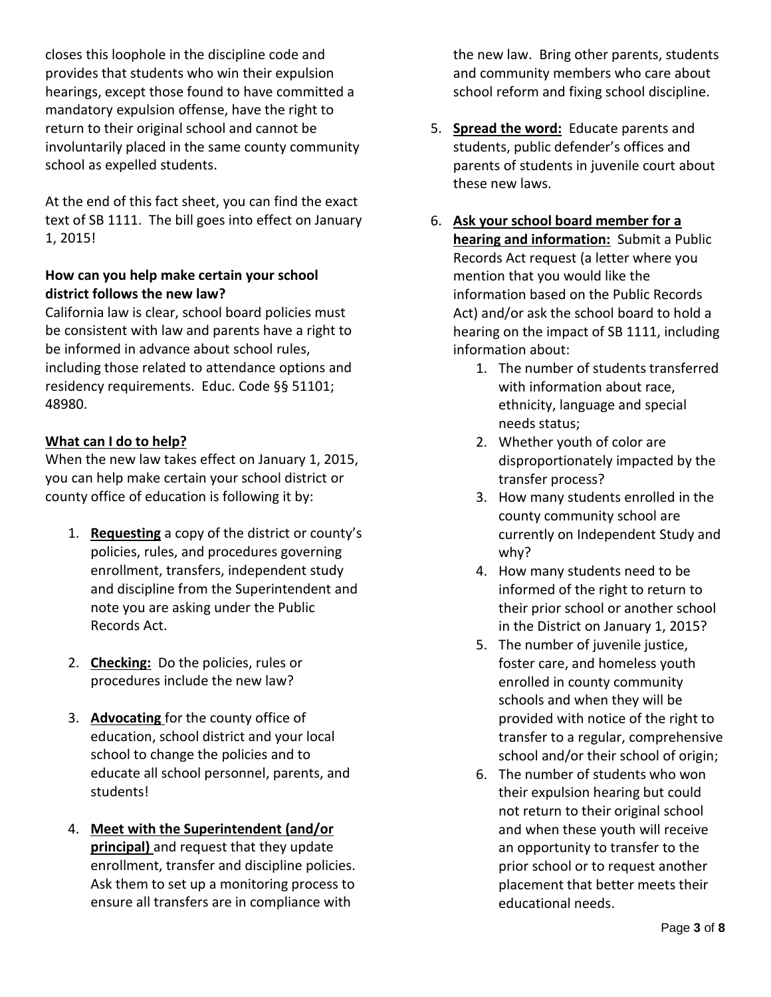closes this loophole in the discipline code and provides that students who win their expulsion hearings, except those found to have committed a mandatory expulsion offense, have the right to return to their original school and cannot be involuntarily placed in the same county community school as expelled students.

At the end of this fact sheet, you can find the exact text of SB 1111. The bill goes into effect on January 1, 2015!

### **How can you help make certain your school district follows the new law?**

California law is clear, school board policies must be consistent with law and parents have a right to be informed in advance about school rules, including those related to attendance options and residency requirements. Educ. Code §§ 51101; 48980.

### **What can I do to help?**

When the new law takes effect on January 1, 2015, you can help make certain your school district or county office of education is following it by:

- 1. **Requesting** a copy of the district or county's policies, rules, and procedures governing enrollment, transfers, independent study and discipline from the Superintendent and note you are asking under the Public Records Act.
- 2. **Checking:** Do the policies, rules or procedures include the new law?
- 3. **Advocating** for the county office of education, school district and your local school to change the policies and to educate all school personnel, parents, and students!
- 4. **Meet with the Superintendent (and/or principal)** and request that they update enrollment, transfer and discipline policies. Ask them to set up a monitoring process to ensure all transfers are in compliance with

the new law. Bring other parents, students and community members who care about school reform and fixing school discipline.

- 5. **Spread the word:** Educate parents and students, public defender's offices and parents of students in juvenile court about these new laws.
- 6. **Ask your school board member for a hearing and information:** Submit a Public Records Act request (a letter where you mention that you would like the information based on the Public Records Act) and/or ask the school board to hold a hearing on the impact of SB 1111, including information about:
	- 1. The number of students transferred with information about race, ethnicity, language and special needs status;
	- 2. Whether youth of color are disproportionately impacted by the transfer process?
	- 3. How many students enrolled in the county community school are currently on Independent Study and why?
	- 4. How many students need to be informed of the right to return to their prior school or another school in the District on January 1, 2015?
	- 5. The number of juvenile justice, foster care, and homeless youth enrolled in county community schools and when they will be provided with notice of the right to transfer to a regular, comprehensive school and/or their school of origin;
	- 6. The number of students who won their expulsion hearing but could not return to their original school and when these youth will receive an opportunity to transfer to the prior school or to request another placement that better meets their educational needs.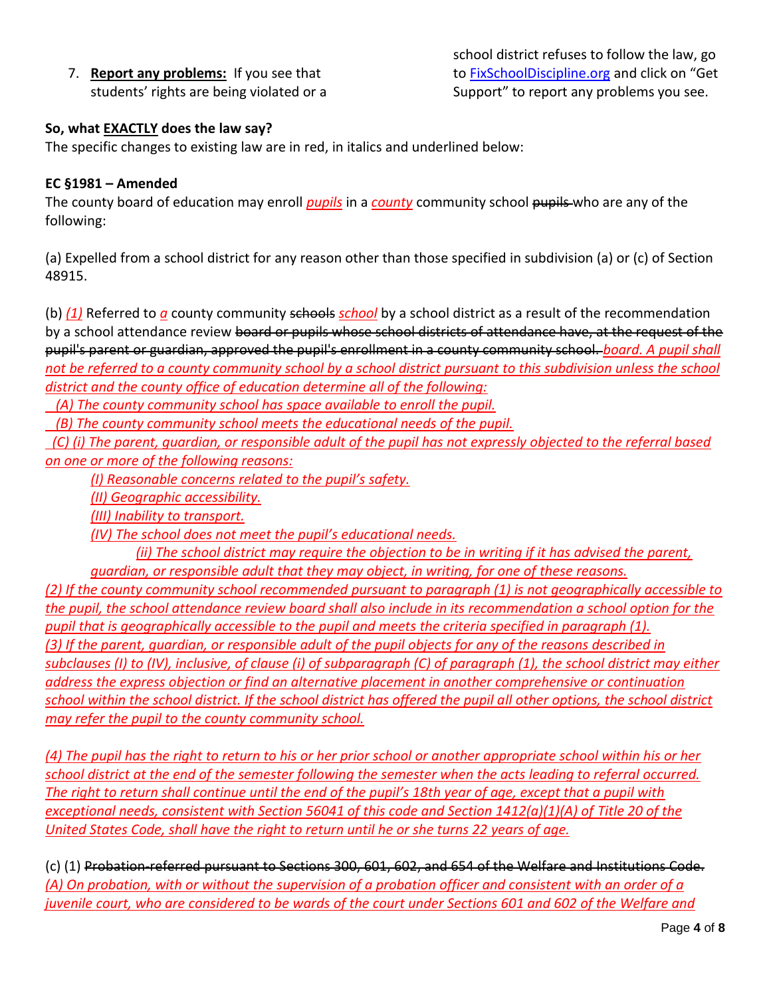7. **Report any problems:** If you see that students' rights are being violated or a school district refuses to follow the law, go to [FixSchoolDiscipline.org](http://www.fixschooldiscipline.org/) and click on "Get Support" to report any problems you see.

### **So, what EXACTLY does the law say?**

The specific changes to existing law are in red, in italics and underlined below:

#### **EC §1981 – Amended**

The county board of education may enroll *pupils* in a *county* community school pupils who are any of the following:

(a) Expelled from a school district for any reason other than those specified in subdivision (a) or (c) of Section 48915.

(b) (1) Referred to *a* county community schools *school* by a school district as a result of the recommendation by a school attendance review board or pupils whose school districts of attendance have, at the request of the pupil's parent or guardian, approved the pupil's enrollment in a county community school. *board. A pupil shall*  not be referred to a county community school by a school district pursuant to this subdivision unless the school *district and the county office of education determine all of the following:* 

 *(A) The county community school has space available to enroll the pupil.* 

 *(B) The county community school meets the educational needs of the pupil.* 

 *(C) (i) The parent, guardian, or responsible adult of the pupil has not expressly objected to the referral based on one or more of the following reasons:* 

*(I) Reasonable concerns related to the pupil's safety.* 

*(II) Geographic accessibility.* 

*(III) Inability to transport.* 

*(IV) The school does not meet the pupil's educational needs.* 

*(ii) The school district may require the objection to be in writing if it has advised the parent, guardian, or responsible adult that they may object, in writing, for one of these reasons.* 

*(2) If the county community school recommended pursuant to paragraph (1) is not geographically accessible to the pupil, the school attendance review board shall also include in its recommendation a school option for the pupil that is geographically accessible to the pupil and meets the criteria specified in paragraph (1). (3) If the parent, guardian, or responsible adult of the pupil objects for any of the reasons described in subclauses (I) to (IV), inclusive, of clause (i) of subparagraph (C) of paragraph (1), the school district may either address the express objection or find an alternative placement in another comprehensive or continuation school within the school district. If the school district has offered the pupil all other options, the school district may refer the pupil to the county community school.* 

*(4) The pupil has the right to return to his or her prior school or another appropriate school within his or her school district at the end of the semester following the semester when the acts leading to referral occurred. The right to return shall continue until the end of the pupil's 18th year of age, except that a pupil with exceptional needs, consistent with Section 56041 of this code and Section 1412(a)(1)(A) of Title 20 of the United States Code, shall have the right to return until he or she turns 22 years of age.*

(c) (1) Probation-referred pursuant to Sections 300, 601, 602, and 654 of the Welfare and Institutions Code. *(A) On probation, with or without the supervision of a probation officer and consistent with an order of a juvenile court, who are considered to be wards of the court under Sections 601 and 602 of the Welfare and*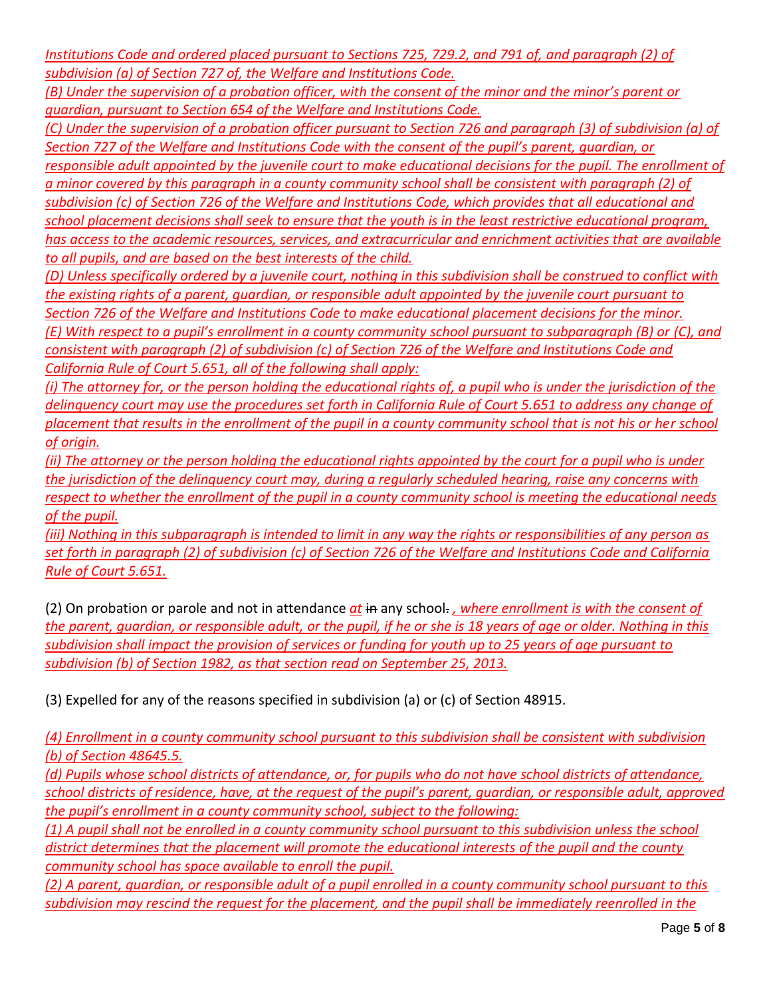*Institutions Code and ordered placed pursuant to Sections 725, 729.2, and 791 of, and paragraph (2) of subdivision (a) of Section 727 of, the Welfare and Institutions Code.* 

*(B) Under the supervision of a probation officer, with the consent of the minor and the minor's parent or guardian, pursuant to Section 654 of the Welfare and Institutions Code.* 

*(C) Under the supervision of a probation officer pursuant to Section 726 and paragraph (3) of subdivision (a) of Section 727 of the Welfare and Institutions Code with the consent of the pupil's parent, guardian, or* 

*responsible adult appointed by the juvenile court to make educational decisions for the pupil. The enrollment of a minor covered by this paragraph in a county community school shall be consistent with paragraph (2) of subdivision (c) of Section 726 of the Welfare and Institutions Code, which provides that all educational and school placement decisions shall seek to ensure that the youth is in the least restrictive educational program, has access to the academic resources, services, and extracurricular and enrichment activities that are available to all pupils, and are based on the best interests of the child.* 

*(D) Unless specifically ordered by a juvenile court, nothing in this subdivision shall be construed to conflict with the existing rights of a parent, guardian, or responsible adult appointed by the juvenile court pursuant to Section 726 of the Welfare and Institutions Code to make educational placement decisions for the minor. (E) With respect to a pupil's enrollment in a county community school pursuant to subparagraph (B) or (C), and consistent with paragraph (2) of subdivision (c) of Section 726 of the Welfare and Institutions Code and California Rule of Court 5.651, all of the following shall apply:* 

*(i) The attorney for, or the person holding the educational rights of, a pupil who is under the jurisdiction of the delinquency court may use the procedures set forth in California Rule of Court 5.651 to address any change of placement that results in the enrollment of the pupil in a county community school that is not his or her school of origin.* 

*(ii)* The attorney or the person holding the educational rights appointed by the court for a pupil who is under *the jurisdiction of the delinquency court may, during a regularly scheduled hearing, raise any concerns with respect to whether the enrollment of the pupil in a county community school is meeting the educational needs of the pupil.* 

*(iii) Nothing in this subparagraph is intended to limit in any way the rights or responsibilities of any person as set forth in paragraph (2) of subdivision (c) of Section 726 of the Welfare and Institutions Code and California Rule of Court 5.651.*

(2) On probation or parole and not in attendance *at* in any school. *, where enrollment is with the consent of the parent, guardian, or responsible adult, or the pupil, if he or she is 18 years of age or older. Nothing in this subdivision shall impact the provision of services or funding for youth up to 25 years of age pursuant to subdivision (b) of Section 1982, as that section read on September 25, 2013.*

(3) Expelled for any of the reasons specified in subdivision (a) or (c) of Section 48915.

*(4) Enrollment in a county community school pursuant to this subdivision shall be consistent with subdivision (b) of Section 48645.5.* 

*(d) Pupils whose school districts of attendance, or, for pupils who do not have school districts of attendance, school districts of residence, have, at the request of the pupil's parent, guardian, or responsible adult, approved the pupil's enrollment in a county community school, subject to the following:* 

*(1) A pupil shall not be enrolled in a county community school pursuant to this subdivision unless the school district determines that the placement will promote the educational interests of the pupil and the county community school has space available to enroll the pupil.* 

*(2) A parent, guardian, or responsible adult of a pupil enrolled in a county community school pursuant to this subdivision may rescind the request for the placement, and the pupil shall be immediately reenrolled in the*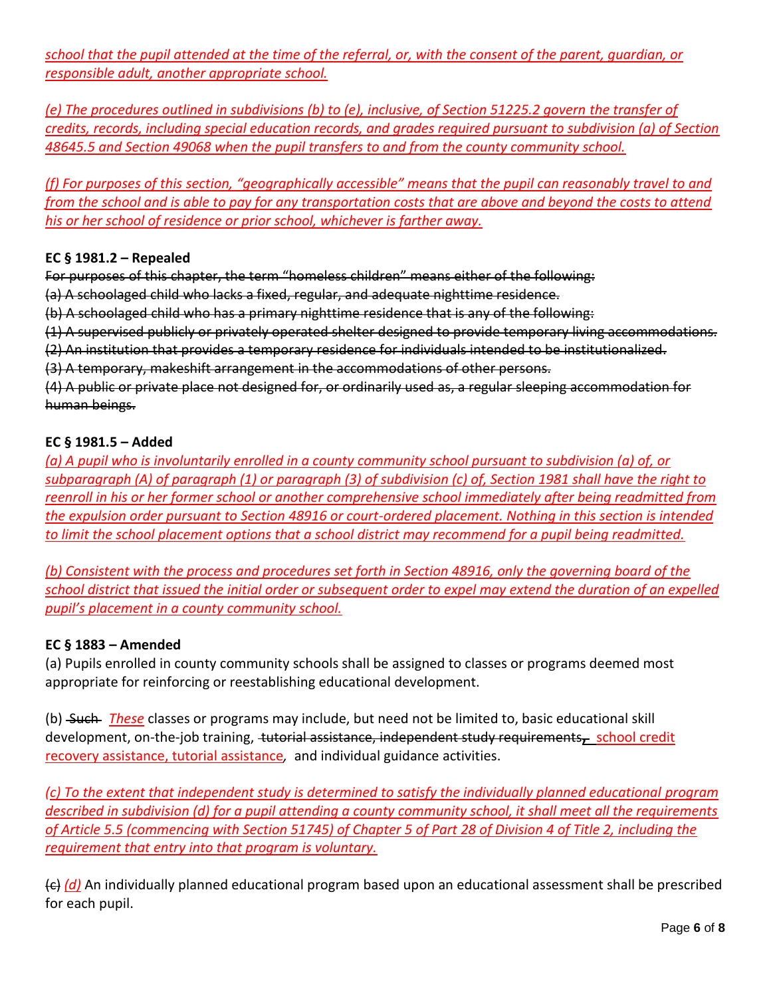*school that the pupil attended at the time of the referral, or, with the consent of the parent, guardian, or responsible adult, another appropriate school.* 

*(e) The procedures outlined in subdivisions (b) to (e), inclusive, of Section 51225.2 govern the transfer of credits, records, including special education records, and grades required pursuant to subdivision (a) of Section 48645.5 and Section 49068 when the pupil transfers to and from the county community school.*

*(f) For purposes of this section, "geographically accessible" means that the pupil can reasonably travel to and from the school and is able to pay for any transportation costs that are above and beyond the costs to attend his or her school of residence or prior school, whichever is farther away.*

#### **EC § [1981.2](javascript:submitCodesValues() – Repealed**

For purposes of this chapter, the term "homeless children" means either of the following:

(a) A schoolaged child who lacks a fixed, regular, and adequate nighttime residence.

(b) A schoolaged child who has a primary nighttime residence that is any of the following:

(1) A supervised publicly or privately operated shelter designed to provide temporary living accommodations.

(2) An institution that provides a temporary residence for individuals intended to be institutionalized.

(3) A temporary, makeshift arrangement in the accommodations of other persons.

(4) A public or private place not designed for, or ordinarily used as, a regular sleeping accommodation for human beings.

#### **EC § 1981.5 – Added**

*(a) A pupil who is involuntarily enrolled in a county community school pursuant to subdivision (a) of, or subparagraph (A) of paragraph (1) or paragraph (3) of subdivision (c) of, Section 1981 shall have the right to reenroll in his or her former school or another comprehensive school immediately after being readmitted from the expulsion order pursuant to Section 48916 or court-ordered placement. Nothing in this section is intended to limit the school placement options that a school district may recommend for a pupil being readmitted.* 

*(b) Consistent with the process and procedures set forth in Section 48916, only the governing board of the school district that issued the initial order or subsequent order to expel may extend the duration of an expelled pupil's placement in a county community school.*

### **EC § 1883 – Amended**

(a) Pupils enrolled in county community schools shall be assigned to classes or programs deemed most appropriate for reinforcing or reestablishing educational development.

(b) Such *These* classes or programs may include, but need not be limited to, basic educational skill development, on-the-job training, tutorial assistance, independent study requirements**,** school credit recovery assistance, tutorial assistance*,* and individual guidance activities.

*(c) To the extent that independent study is determined to satisfy the individually planned educational program described in subdivision (d) for a pupil attending a county community school, it shall meet all the requirements of Article 5.5 (commencing with Section 51745) of Chapter 5 of Part 28 of Division 4 of Title 2, including the requirement that entry into that program is voluntary.*

(c) *(d)* An individually planned educational program based upon an educational assessment shall be prescribed for each pupil.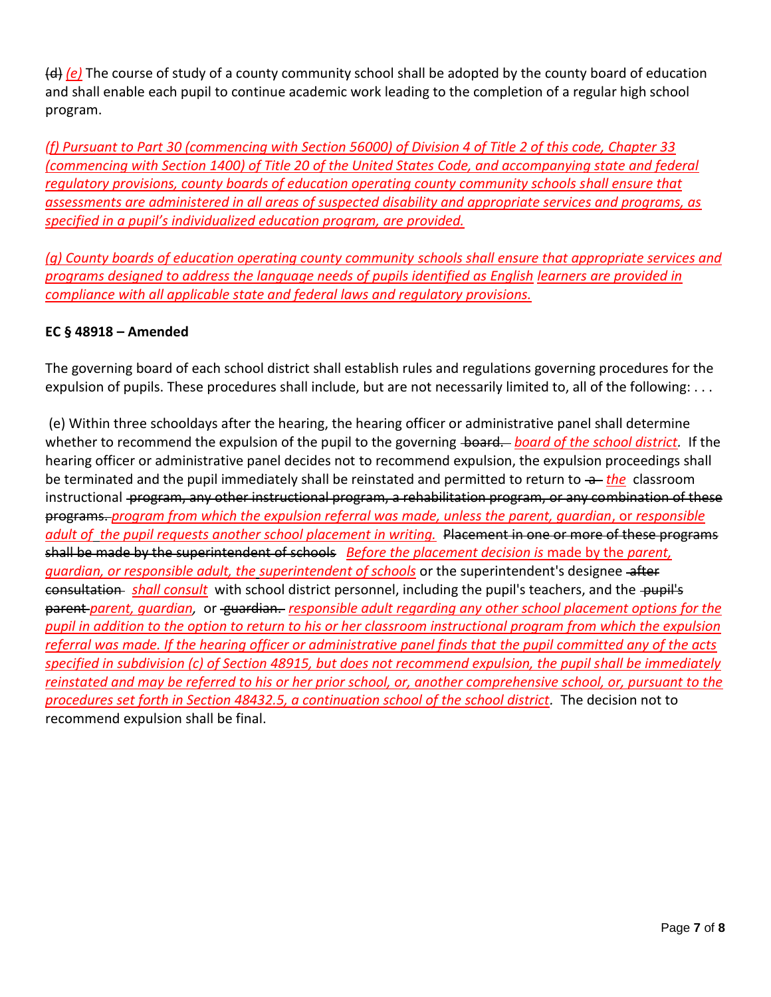(d) *(e)* The course of study of a county community school shall be adopted by the county board of education and shall enable each pupil to continue academic work leading to the completion of a regular high school program.

*(f) Pursuant to Part 30 (commencing with Section 56000) of Division 4 of Title 2 of this code, Chapter 33 (commencing with Section 1400) of Title 20 of the United States Code, and accompanying state and federal regulatory provisions, county boards of education operating county community schools shall ensure that assessments are administered in all areas of suspected disability and appropriate services and programs, as specified in a pupil's individualized education program, are provided.* 

*(g) County boards of education operating county community schools shall ensure that appropriate services and programs designed to address the language needs of pupils identified as English learners are provided in compliance with all applicable state and federal laws and regulatory provisions.*

### **EC § 48918 – Amended**

The governing board of each school district shall establish rules and regulations governing procedures for the expulsion of pupils. These procedures shall include, but are not necessarily limited to, all of the following: ...

(e) Within three schooldays after the hearing, the hearing officer or administrative panel shall determine whether to recommend the expulsion of the pupil to the governing board. *board of the school district*. If the hearing officer or administrative panel decides not to recommend expulsion, the expulsion proceedings shall be terminated and the pupil immediately shall be reinstated and permitted to return to  $\rightarrow$  the classroom instructional program, any other instructional program, a rehabilitation program, or any combination of these programs. *program from which the expulsion referral was made, unless the parent, guardian*, or *responsible adult of the pupil requests another school placement in writing.* Placement in one or more of these programs shall be made by the superintendent of schools *Before the placement decision is* made by the *parent, guardian, or responsible adult, the superintendent of schools* or the superintendent's designee after consultation *shall consult* with school district personnel, including the pupil's teachers, and the pupil's parent *parent, guardian,* or guardian. *responsible adult regarding any other school placement options for the pupil in addition to the option to return to his or her classroom instructional program from which the expulsion referral was made. If the hearing officer or administrative panel finds that the pupil committed any of the acts specified in subdivision (c) of Section 48915, but does not recommend expulsion, the pupil shall be immediately reinstated and may be referred to his or her prior school, or, another comprehensive school, or, pursuant to the procedures set forth in Section 48432.5, a continuation school of the school district.* The decision not to recommend expulsion shall be final.